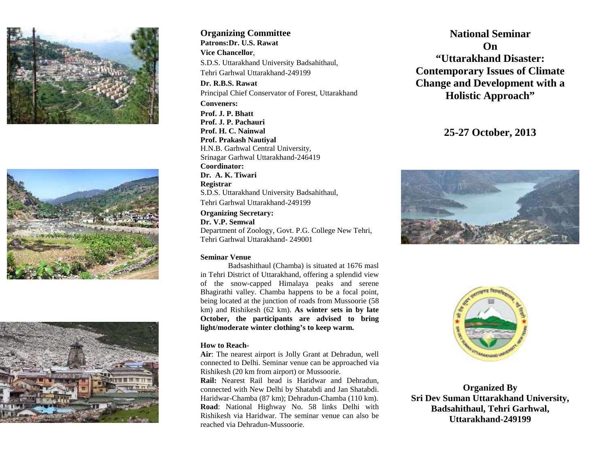





**Organizing Committee Patrons:Dr. U.S. Rawat Vice Chancellor**, S.D.S. Uttarakhand University Badsahithaul, Tehri Garhwal Uttarakhand-249199 **Dr. R.B.S. Rawat** Principal Chief Conservator of Forest, Uttarakhand **Conveners: Prof. J. P. Bhatt Prof. J. P. Pachauri Prof. H. C. Nainwal Prof. Prakash Nautiyal** H.N.B. Garhwal Central University, Srinagar Garhwal Uttarakhand-246419 **Coordinator: Dr. A. K. Tiwari Registrar** S.D.S. Uttarakhand University Badsahithaul, Tehri Garhwal Uttarakhand-249199

**Organizing Secretary: Dr. V.P. Semwal** Department of Zoology, Govt. P.G. College New Tehri, Tehri Garhwal Uttarakhand- 249001

## **Seminar Venue**

Badsashithaul (Chamba) is situated at 1676 masl in Tehri District of Uttarakhand, offering a splendid view of the snow-capped Himalaya peaks and serene Bhagirathi valley. Chamba happens to be a focal point, being located at the junction of roads from Mussoorie (58 km) and Rishikesh (62 km). **As winter sets in by late October, the participants are advised to bring light/moderate winter clothing's to keep warm.**

## **How to Reach-**

**Air**: The nearest airport is Jolly Grant at Dehradun, well connected to Delhi. Seminar venue can be approached via Rishikesh (20 km from airport) or Mussoorie.

**Rail:** Nearest Rail head is Haridwar and Dehradun, connected with New Delhi by Shatabdi and Jan Shatabdi. Haridwar-Chamba (87 km); Dehradun-Chamba (110 km). **Road**: National Highway No. 58 links Delhi with Rishikesh via Haridwar. The seminar venue can also be reached via Dehradun-Mussoorie.

**National Seminar On "Uttarakhand Disaster: Contemporary Issues of Climate Change and Development with a Holistic Approach"**

**25-27 October, 2013**





**Organized By Sri Dev Suman Uttarakhand University, Badsahithaul, Tehri Garhwal, Uttarakhand-249199**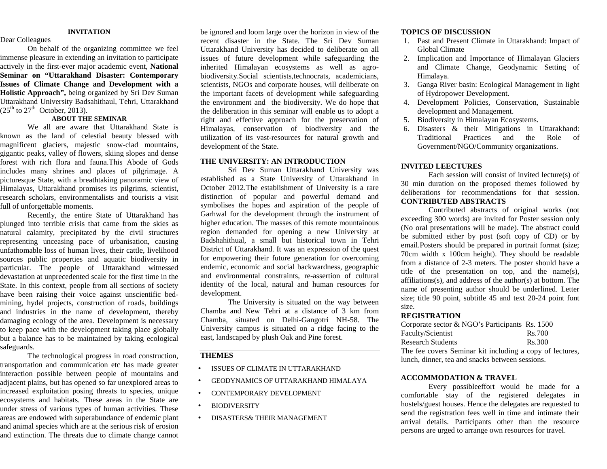#### **INVITATION**

### Dear Colleagues

On behalf of the organizing committee we feel immense pleasure in extending an invitation to participate actively in the first-ever major academic event, **National Seminar on "Uttarakhand Disaster: Contemporary Issues of Climate Change and Development with a Holistic Approach",** being organized by Sri Dev Suman Uttarakhand University Badsahithaul, Tehri, Uttarakhand  $(25<sup>th</sup>$  to  $27<sup>th</sup>$  October, 2013).

## **ABOUT THE SEMINAR**

We all are aware that Uttarakhand State is known as the land of celestial beauty blessed with magnificent glaciers, majestic snow-clad mountains, gigantic peaks, valley of flowers, skiing slopes and dense forest with rich flora and fauna.This Abode of Gods includes many shrines and places of pilgrimage. A picturesque State, with a breathtaking panoramic view of Himalayas, Uttarakhand promises its pilgrims, scientist, research scholars, environmentalists and tourists a visit full of unforgettable moments.

Recently, the entire State of Uttarakhand has plunged into terrible crisis that came from the skies as natural calamity, precipitated by the civil structures representing unceasing pace of urbanisation, causing unfathomable loss of human lives, their cattle, livelihood sources public properties and aquatic biodiversity in particular. The people of Uttarakhand witnessed devastation at unprecedented scale for the first time in the State. In this context, people from all sections of society have been raising their voice against unscientific bed mining, hydel projects, construction of roads, buildings and industries in the name of development, thereby damaging ecology of the area. Development is necessary to keep pace with the development taking place globally but a balance has to be maintained by taking ecological safeguards.

The technological progress in road construction, transportation and communication etc has made greater interaction possible between people of mountains and adjacent plains, but has opened so far unexplored areas to  $\bullet$ increased exploitation posing threats to species, unique ecosystems and habitats. These areas in the State are under stress of various types of human activities. These areas are endowed with superabundance of endemic plant and animal species which are at the serious risk of erosion and extinction. The threats due to climate change cannot

be ignored and loom large over the horizon in view of the recent disaster in the State. The Sri Dev Suman Uttarakhand University has decided to deliberate on all issues of future development while safeguarding the inherited Himalayan ecosystems as well as agro biodiversity.Social scientists,technocrats, academicians, scientists, NGOs and corporate houses, will deliberate on the important facets of development while safeguarding the environment and the biodiversity. We do hope that the deliberation in this seminar will enable us to adopt a right and effective approach for the preservation of Himalayas, conservation of biodiversity and the utilization of its vast-resources for natural growth and development of the State.

#### **THE UNIVERSITY: AN INTRODUCTION**

Sri Dev Suman Uttarakhand University was established as a State University of Uttarakhand in October 2012.The establishment of University is a rare distinction of popular and powerful demand and symbolises the hopes and aspiration of the people of Garhwal for the development through the instrument of higher education. The masses of this remote mountainous region demanded for opening a new University at Badshahithual, a small but historical town in Tehri District of Uttarakhand. It was an expression of the quest for empowering their future generation for overcoming endemic, economic and social backwardness, geographic and environmental constraints, re-assertion of cultural identity of the local, natural and human resources for development.

The University is situated on the way between Chamba and New Tehri at a distance of 3 km from Chamba, situated on Delhi-Gangotri NH-58. The University campus is situated on a ridge facing to the east, landscaped by plush Oak and Pine forest.

## **THEMES**

- ISSUES OF CLIMATE IN UTTARAKHAND
- GEODYNAMICS OF UTTARAKHAND HIMALAYA
- CONTEMPORARY DEVELOPMENT
- **BIODIVERSITY**
- DISASTERS& THEIR MANAGEMENT

# **TOPICS OF DISCUSSION**

- 1. Past and Present Climate in Uttarakhand: Impact of Global Climate
- 2. Implication and Importance of Himalayan Glaciers and Climate Change, Geodynamic Setting of Himalaya.
- 3. Ganga River basin: Ecological Management in light of Hydropower Development.
- 4. Development Policies, Conservation, Sustainable development and Management.
- 5. Biodiversity in Himalayan Ecosystems.
- 6. Disasters & their Mitigations in Uttarakhand: Traditional Practices and the Role of Government/NGO/Community organizations.

### **INVITED LEECTURES**

Each session will consist of invited lecture(s) of 30 min duration on the proposed themes followed by deliberations for recommendations for that session. **CONTRIBUTED ABSTRACTS**

Contributed abstracts of original works (not exceeding 300 words) are invited for Poster session only (No oral presentations will be made). The abstract could be submitted either by post (soft copy of CD) or by email.Posters should be prepared in portrait format (size; 70cm width x 100cm height). They should be readable from a distance of 2-3 meters. The poster should have a title of the presentation on top, and the name(s), affiliations(s), and address of the author(s) at bottom. The name of presenting author should be underlined. Letter size; title 90 point, subtitle 45 and text 20-24 point font size.

### **REGISTRATION**

| Corporate sector $\& \text{NGO's Participants}$ Rs. 1500 |        |
|----------------------------------------------------------|--------|
| Faculty/Scientist                                        | Rs.700 |
| <b>Research Students</b>                                 | Rs.300 |
| The fee covers Seminar kit including a copy of lectures, |        |
|                                                          |        |

lunch, dinner, tea and snacks between sessions.

### **ACCOMMODATION & TRAVEL**

Every possibleeffort would be made for a comfortable stay of the registered delegates in hostels/guest houses. Hence the delegates are requested to send the registration fees well in time and intimate their arrival details. Participants other than the resource persons are urged to arrange own resources for travel.